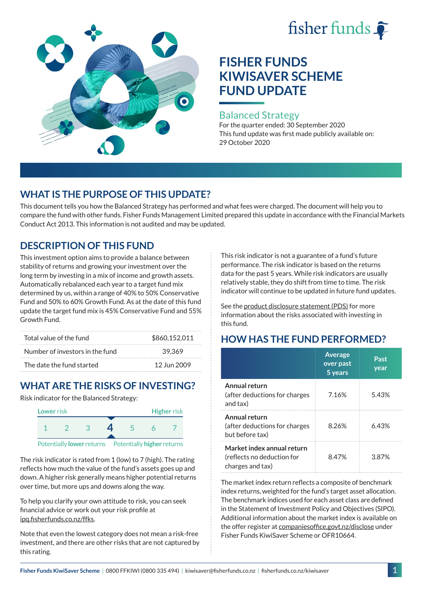# fisher funds



# **FISHER FUNDS KIWISAVER SCHEME FUND UPDATE**

#### Balanced Strategy

For the quarter ended: 30 September 2020 This fund update was first made publicly available on: 29 October 2020

# **WHAT IS THE PURPOSE OF THIS UPDATE?**

This document tells you how the Balanced Strategy has performed and what fees were charged. The document will help you to compare the fund with other funds. Fisher Funds Management Limited prepared this update in accordance with the Financial Markets Conduct Act 2013. This information is not audited and may be updated.

# **DESCRIPTION OF THIS FUND**

This investment option aims to provide a balance between stability of returns and growing your investment over the long term by investing in a mix of income and growth assets. Automatically rebalanced each year to a target fund mix determined by us, within a range of 40% to 50% Conservative Fund and 50% to 60% Growth Fund. As at the date of this fund update the target fund mix is 45% Conservative Fund and 55% Growth Fund.

| Total value of the fund         | \$860,152,011 |
|---------------------------------|---------------|
| Number of investors in the fund | 39.369        |
| The date the fund started       | 12 Jun 2009   |

# **WHAT ARE THE RISKS OF INVESTING?**

Risk indicator for the Balanced Strategy:



The risk indicator is rated from 1 (low) to 7 (high). The rating reflects how much the value of the fund's assets goes up and down. A higher risk generally means higher potential returns over time, but more ups and downs along the way.

To help you clarify your own attitude to risk, you can seek financial advice or work out your risk profile at [ipq.fisherfunds.co.nz/ffks](https://ipq.fisherfunds.co.nz/ffks).

Note that even the lowest category does not mean a risk-free investment, and there are other risks that are not captured by this rating.

This risk indicator is not a guarantee of a fund's future performance. The risk indicator is based on the returns data for the past 5 years. While risk indicators are usually relatively stable, they do shift from time to time. The risk indicator will continue to be updated in future fund updates.

See the [product disclosure statement \(PDS\)](https://fisherfunds.co.nz/assets/PDS/Fisher-Funds-KiwiSaver-Scheme-PDS.pdf) for more information about the risks associated with investing in this fund.

# **HOW HAS THE FUND PERFORMED?**

|                                                                              | <b>Average</b><br>over past<br>5 years | Past<br>year |
|------------------------------------------------------------------------------|----------------------------------------|--------------|
| Annual return<br>(after deductions for charges<br>and tax)                   | 7.16%                                  | 5.43%        |
| Annual return<br>(after deductions for charges<br>but before tax)            | 8.26%                                  | 6.43%        |
| Market index annual return<br>(reflects no deduction for<br>charges and tax) | 8.47%                                  | 387%         |

The market index return reflects a composite of benchmark index returns, weighted for the fund's target asset allocation. The benchmark indices used for each asset class are defined in the Statement of Investment Policy and Objectives (SIPO). Additional information about the market index is available on the offer register at [companiesoffice.govt.nz/disclose](http://companiesoffice.govt.nz/disclose) under Fisher Funds KiwiSaver Scheme or OFR10664.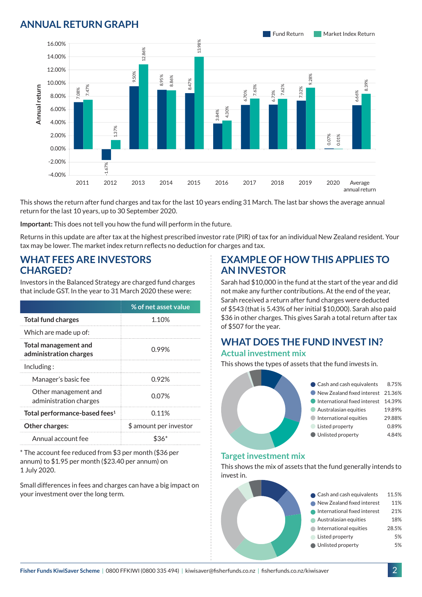### **ANNUAL RETURN GRAPH**



This shows the return after fund charges and tax for the last 10 years ending 31 March. The last bar shows the average annual return for the last 10 years, up to 30 September 2020.

**Important:** This does not tell you how the fund will perform in the future.

Returns in this update are after tax at the highest prescribed investor rate (PIR) of tax for an individual New Zealand resident. Your tax may be lower. The market index return reflects no deduction for charges and tax.

#### **WHAT FEES ARE INVESTORS CHARGED?**

|                 |                                                       |                                                |                                                                                                                                       |      |                        | ू<br>8 |
|-----------------|-------------------------------------------------------|------------------------------------------------|---------------------------------------------------------------------------------------------------------------------------------------|------|------------------------|--------|
|                 | 8.00%                                                 | 7.47%<br>7.08%                                 |                                                                                                                                       |      |                        |        |
| Annual return   | 6.00%                                                 |                                                |                                                                                                                                       |      |                        |        |
|                 | 4.00%                                                 |                                                |                                                                                                                                       |      |                        |        |
|                 | 2.00%                                                 |                                                | .37%                                                                                                                                  |      |                        |        |
|                 | 0.00%                                                 |                                                |                                                                                                                                       |      |                        |        |
|                 | $-2.00%$                                              |                                                |                                                                                                                                       |      |                        |        |
|                 | $-4.00%$                                              |                                                | 1.67%                                                                                                                                 |      |                        |        |
|                 |                                                       | 2011                                           | 2012                                                                                                                                  | 2013 | 2014                   | 2015   |
|                 |                                                       |                                                | This shows the return after fund charges and tax for the last 10<br>return for the last 10 years, up to 30 September 2020.            |      |                        |        |
|                 |                                                       |                                                | Important: This does not tell you how the fund will perform in th                                                                     |      |                        |        |
|                 |                                                       |                                                | Returns in this update are after tax at the highest prescribed inv<br>tax may be lower. The market index return reflects no deductior |      |                        |        |
| <b>CHARGED?</b> |                                                       |                                                | <b>WHAT FEES ARE INVESTORS</b><br>Investors in the Balanced Strategy are charged fund charges                                         |      |                        |        |
|                 |                                                       |                                                | that include GST. In the year to 31 March 2020 these were:                                                                            |      |                        |        |
|                 |                                                       |                                                |                                                                                                                                       |      | % of net asset value   |        |
|                 | <b>Total fund charges</b>                             |                                                |                                                                                                                                       |      | 1.10%                  |        |
|                 | Which are made up of:                                 |                                                |                                                                                                                                       |      |                        |        |
|                 | <b>Total management and</b><br>administration charges |                                                |                                                                                                                                       |      | 0.99%                  |        |
| Including:      |                                                       |                                                |                                                                                                                                       |      |                        |        |
|                 | Manager's basic fee                                   |                                                |                                                                                                                                       |      | 0.92%                  |        |
|                 |                                                       | Other management and<br>administration charges |                                                                                                                                       |      | 0.07%                  |        |
|                 |                                                       | Total performance-based fees <sup>1</sup>      |                                                                                                                                       |      | 0.11%                  |        |
|                 | Other charges:                                        |                                                |                                                                                                                                       |      | \$ amount per investor |        |
|                 | Annual account fee                                    |                                                |                                                                                                                                       |      | $$36*$                 |        |
| 1 July 2020.    |                                                       |                                                | * The account fee reduced from \$3 per month (\$36 per<br>annum) to \$1.95 per month (\$23.40 per annum) on                           |      |                        |        |

Small differences in fees and charges can have a big impact on

#### **EXAMPLE OF HOW THIS APPLIES TO AN INVESTOR**

Sarah had \$10,000 in the fund at the start of the year and did not make any further contributions. At the end of the year, Sarah received a return after fund charges were deducted of \$543 (that is 5.43% of her initial \$10,000). Sarah also paid \$36 in other charges. This gives Sarah a total return after tax of \$507 for the year.

# **WHAT DOES THE FUND INVEST IN?**

#### **Actual investment mix**

This shows the types of assets that the fund invests in.



#### **Target investment mix**

This shows the mix of assets that the fund generally intends to invest in.